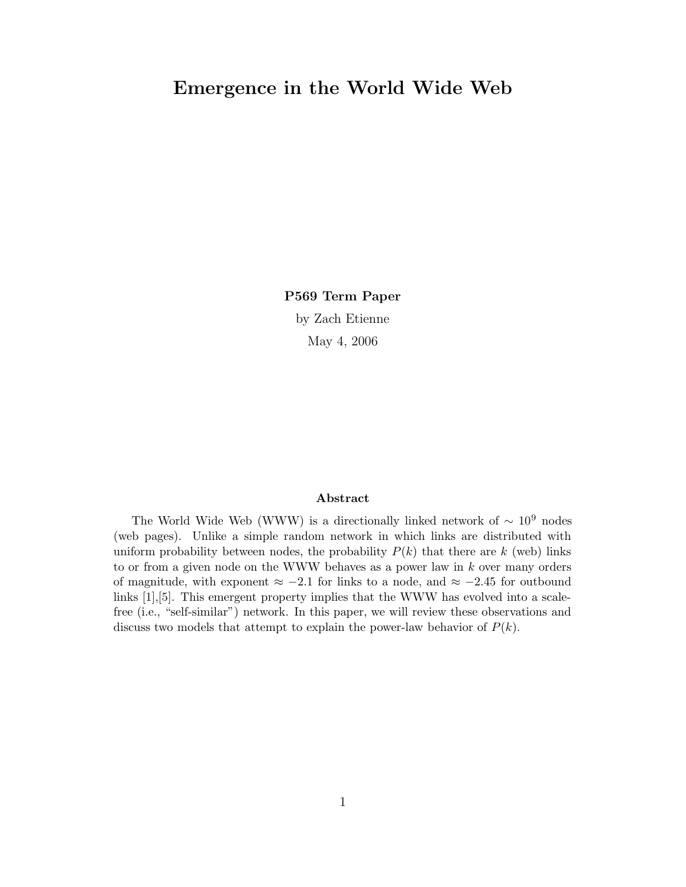# Emergence in the World Wide Web

P569 Term Paper by Zach Etienne May 4, 2006

### Abstract

The World Wide Web (WWW) is a directionally linked network of  $\sim 10^9$  nodes (web pages). Unlike a simple random network in which links are distributed with uniform probability between nodes, the probability  $P(k)$  that there are k (web) links to or from a given node on the WWW behaves as a power law in k over many orders of magnitude, with exponent  $\approx -2.1$  for links to a node, and  $\approx -2.45$  for outbound links [1],[5]. This emergent property implies that the WWW has evolved into a scalefree (i.e., "self-similar") network. In this paper, we will review these observations and discuss two models that attempt to explain the power-law behavior of  $P(k)$ .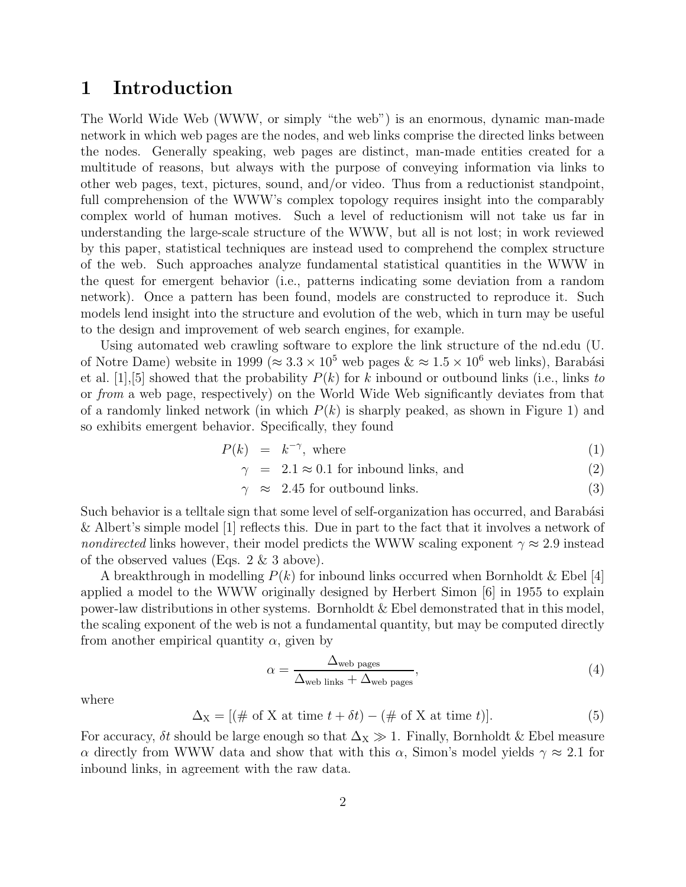## 1 Introduction

The World Wide Web (WWW, or simply "the web") is an enormous, dynamic man-made network in which web pages are the nodes, and web links comprise the directed links between the nodes. Generally speaking, web pages are distinct, man-made entities created for a multitude of reasons, but always with the purpose of conveying information via links to other web pages, text, pictures, sound, and/or video. Thus from a reductionist standpoint, full comprehension of the WWW's complex topology requires insight into the comparably complex world of human motives. Such a level of reductionism will not take us far in understanding the large-scale structure of the WWW, but all is not lost; in work reviewed by this paper, statistical techniques are instead used to comprehend the complex structure of the web. Such approaches analyze fundamental statistical quantities in the WWW in the quest for emergent behavior (i.e., patterns indicating some deviation from a random network). Once a pattern has been found, models are constructed to reproduce it. Such models lend insight into the structure and evolution of the web, which in turn may be useful to the design and improvement of web search engines, for example.

Using automated web crawling software to explore the link structure of the nd.edu (U. of Notre Dame) website in 1999 ( $\approx 3.3 \times 10^5$  web pages  $\&\approx 1.5 \times 10^6$  web links), Barabási et al. [1], [5] showed that the probability  $P(k)$  for k inbound or outbound links (i.e., links to or from a web page, respectively) on the World Wide Web significantly deviates from that of a randomly linked network (in which  $P(k)$  is sharply peaked, as shown in Figure 1) and so exhibits emergent behavior. Specifically, they found

$$
P(k) = k^{-\gamma}, \text{ where } (1)
$$

$$
\gamma = 2.1 \approx 0.1 \text{ for inbound links, and} \tag{2}
$$

$$
\gamma \approx 2.45 \text{ for outbound links.} \tag{3}
$$

Such behavior is a telltale sign that some level of self-organization has occurred, and Barabási & Albert's simple model [1] reflects this. Due in part to the fact that it involves a network of nondirected links however, their model predicts the WWW scaling exponent  $\gamma \approx 2.9$  instead of the observed values (Eqs. 2 & 3 above).

A breakthrough in modelling  $P(k)$  for inbound links occurred when Bornholdt & Ebel [4] applied a model to the WWW originally designed by Herbert Simon [6] in 1955 to explain power-law distributions in other systems. Bornholdt & Ebel demonstrated that in this model, the scaling exponent of the web is not a fundamental quantity, but may be computed directly from another empirical quantity  $\alpha$ , given by

$$
\alpha = \frac{\Delta_{\text{web pages}}}{\Delta_{\text{web links}} + \Delta_{\text{web pages}}},\tag{4}
$$

where

$$
\Delta_X = [(\text{# of X at time } t + \delta t) - (\text{# of X at time } t)]. \tag{5}
$$

For accuracy,  $\delta t$  should be large enough so that  $\Delta_X \gg 1$ . Finally, Bornholdt & Ebel measure α directly from WWW data and show that with this α, Simon's model yields  $\gamma \approx 2.1$  for inbound links, in agreement with the raw data.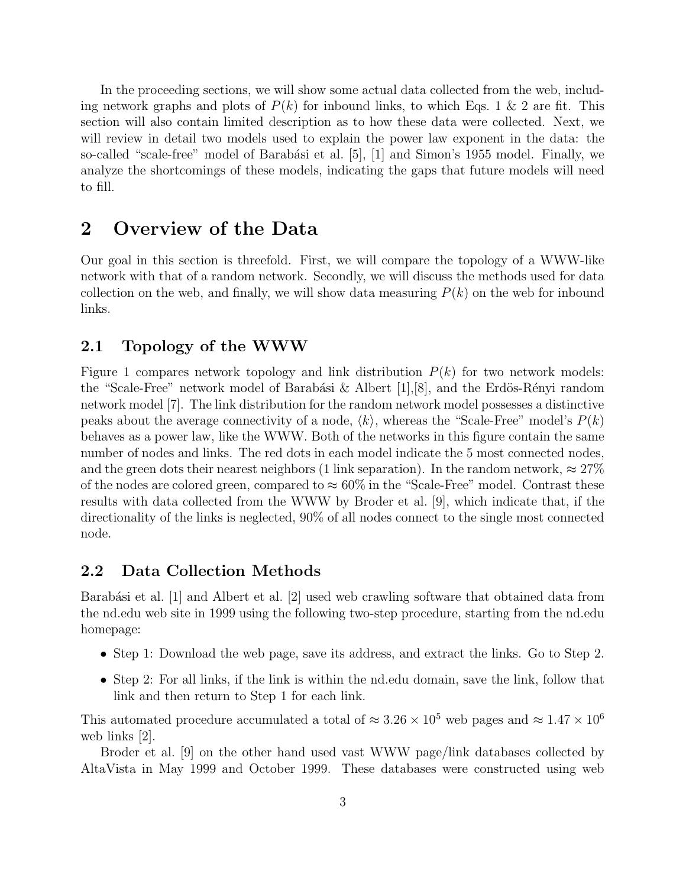In the proceeding sections, we will show some actual data collected from the web, including network graphs and plots of  $P(k)$  for inbound links, to which Eqs. 1 & 2 are fit. This section will also contain limited description as to how these data were collected. Next, we will review in detail two models used to explain the power law exponent in the data: the so-called "scale-free" model of Barabási et al.  $[5]$ ,  $[1]$  and Simon's 1955 model. Finally, we analyze the shortcomings of these models, indicating the gaps that future models will need to fill.

## 2 Overview of the Data

Our goal in this section is threefold. First, we will compare the topology of a WWW-like network with that of a random network. Secondly, we will discuss the methods used for data collection on the web, and finally, we will show data measuring  $P(k)$  on the web for inbound links.

### 2.1 Topology of the WWW

Figure 1 compares network topology and link distribution  $P(k)$  for two network models: the "Scale-Free" network model of Barabási & Albert  $[1],[8]$ , and the Erdös-Rényi random network model [7]. The link distribution for the random network model possesses a distinctive peaks about the average connectivity of a node,  $\langle k \rangle$ , whereas the "Scale-Free" model's  $P(k)$ behaves as a power law, like the WWW. Both of the networks in this figure contain the same number of nodes and links. The red dots in each model indicate the 5 most connected nodes, and the green dots their nearest neighbors (1 link separation). In the random network,  $\approx 27\%$ of the nodes are colored green, compared to  $\approx 60\%$  in the "Scale-Free" model. Contrast these results with data collected from the WWW by Broder et al. [9], which indicate that, if the directionality of the links is neglected, 90% of all nodes connect to the single most connected node.

### 2.2 Data Collection Methods

Barabási et al. [1] and Albert et al. [2] used web crawling software that obtained data from the nd.edu web site in 1999 using the following two-step procedure, starting from the nd.edu homepage:

- Step 1: Download the web page, save its address, and extract the links. Go to Step 2.
- Step 2: For all links, if the link is within the nd.edu domain, save the link, follow that link and then return to Step 1 for each link.

This automated procedure accumulated a total of  $\approx 3.26 \times 10^5$  web pages and  $\approx 1.47 \times 10^6$ web links [2].

Broder et al. [9] on the other hand used vast WWW page/link databases collected by AltaVista in May 1999 and October 1999. These databases were constructed using web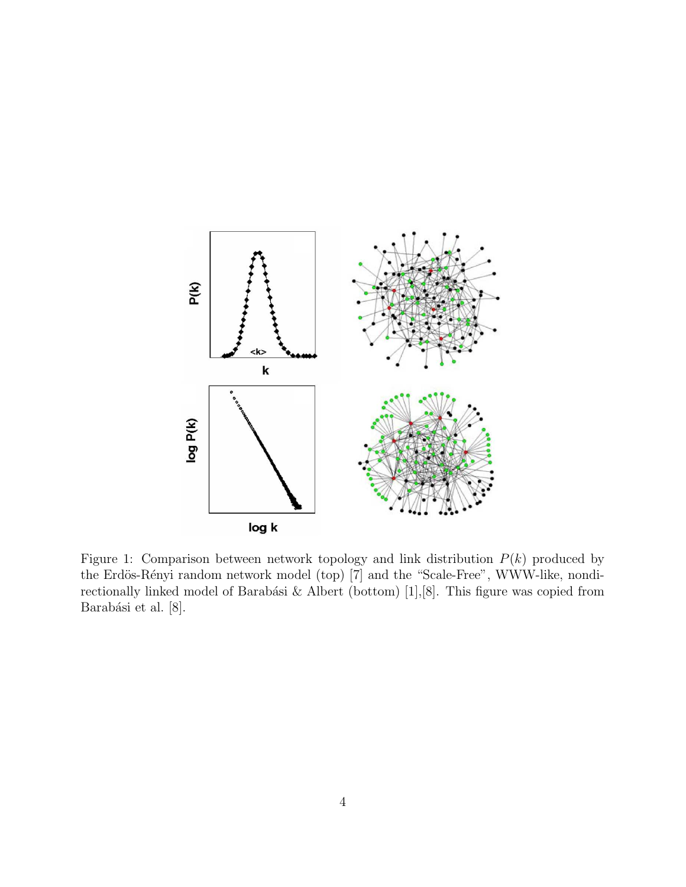

Figure 1: Comparison between network topology and link distribution  $P(k)$  produced by the Erdös-Rényi random network model (top) [7] and the "Scale-Free", WWW-like, nondirectionally linked model of Barabási & Albert (bottom) [1],[8]. This figure was copied from Barabási et al. [8].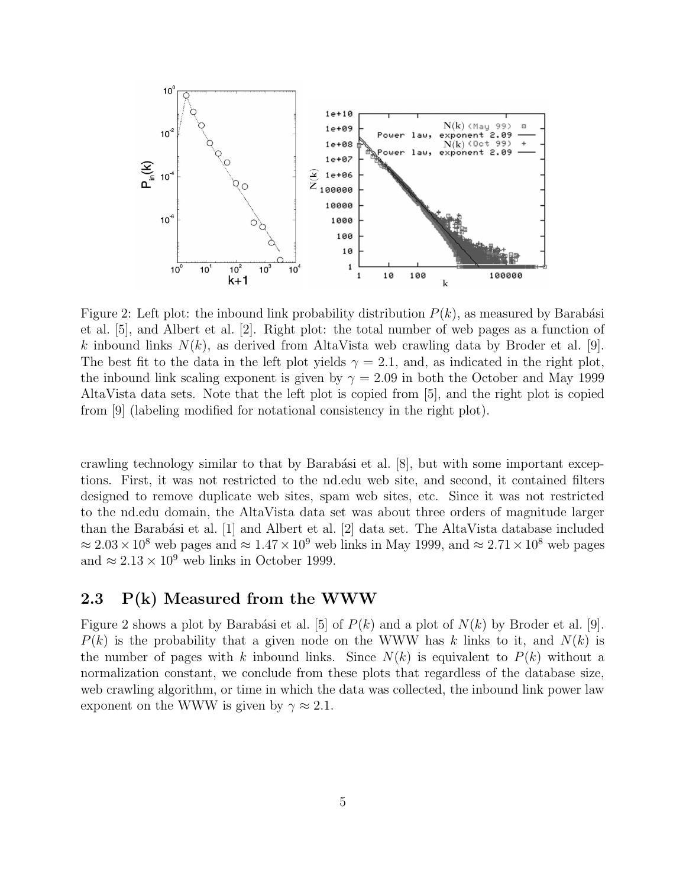

Figure 2: Left plot: the inbound link probability distribution  $P(k)$ , as measured by Barabási et al. [5], and Albert et al. [2]. Right plot: the total number of web pages as a function of k inbound links  $N(k)$ , as derived from AltaVista web crawling data by Broder et al. [9]. The best fit to the data in the left plot yields  $\gamma = 2.1$ , and, as indicated in the right plot, the inbound link scaling exponent is given by  $\gamma = 2.09$  in both the October and May 1999 AltaVista data sets. Note that the left plot is copied from [5], and the right plot is copied from [9] (labeling modified for notational consistency in the right plot).

crawling technology similar to that by Barabási et al.  $[8]$ , but with some important exceptions. First, it was not restricted to the nd.edu web site, and second, it contained filters designed to remove duplicate web sites, spam web sites, etc. Since it was not restricted to the nd.edu domain, the AltaVista data set was about three orders of magnitude larger than the Barabási et al.  $[1]$  and Albert et al.  $[2]$  data set. The AltaVista database included  $\approx 2.03 \times 10^8$  web pages and  $\approx 1.47 \times 10^9$  web links in May 1999, and  $\approx 2.71 \times 10^8$  web pages and  $\approx 2.13 \times 10^9$  web links in October 1999.

### 2.3 P(k) Measured from the WWW

Figure 2 shows a plot by Barabási et al. [5] of  $P(k)$  and a plot of  $N(k)$  by Broder et al. [9].  $P(k)$  is the probability that a given node on the WWW has k links to it, and  $N(k)$  is the number of pages with k inbound links. Since  $N(k)$  is equivalent to  $P(k)$  without a normalization constant, we conclude from these plots that regardless of the database size, web crawling algorithm, or time in which the data was collected, the inbound link power law exponent on the WWW is given by  $\gamma \approx 2.1$ .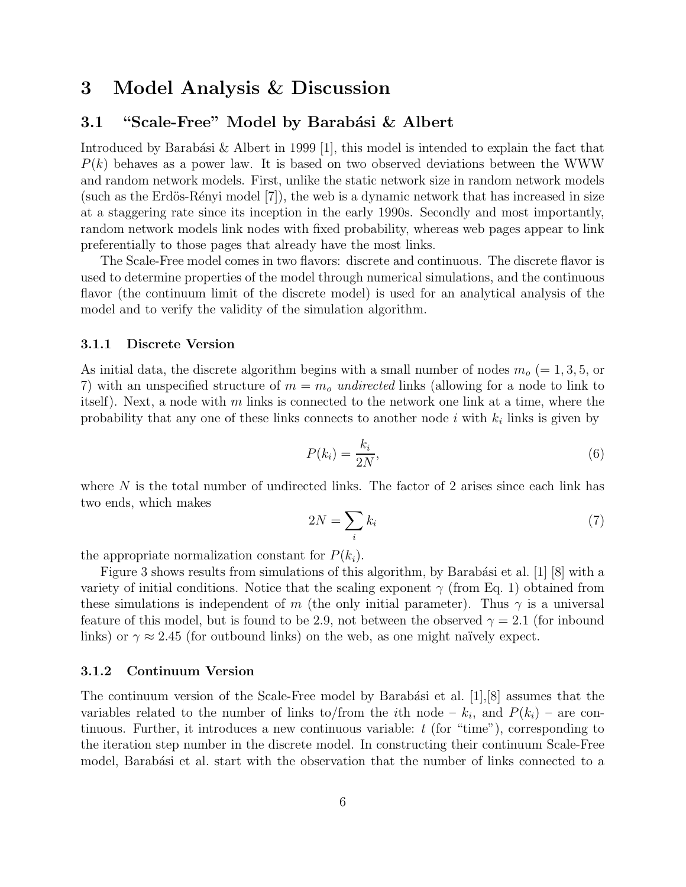## 3 Model Analysis & Discussion

### 3.1 "Scale-Free" Model by Barabási & Albert

Introduced by Barabási & Albert in 1999 [1], this model is intended to explain the fact that  $P(k)$  behaves as a power law. It is based on two observed deviations between the WWW and random network models. First, unlike the static network size in random network models (such as the Erdös-Rényi model  $[7]$ ), the web is a dynamic network that has increased in size at a staggering rate since its inception in the early 1990s. Secondly and most importantly, random network models link nodes with fixed probability, whereas web pages appear to link preferentially to those pages that already have the most links.

The Scale-Free model comes in two flavors: discrete and continuous. The discrete flavor is used to determine properties of the model through numerical simulations, and the continuous flavor (the continuum limit of the discrete model) is used for an analytical analysis of the model and to verify the validity of the simulation algorithm.

#### 3.1.1 Discrete Version

As initial data, the discrete algorithm begins with a small number of nodes  $m<sub>o</sub> (= 1, 3, 5,$  or 7) with an unspecified structure of  $m = m<sub>o</sub>$  undirected links (allowing for a node to link to itself). Next, a node with m links is connected to the network one link at a time, where the probability that any one of these links connects to another node  $i$  with  $k_i$  links is given by

$$
P(k_i) = \frac{k_i}{2N},\tag{6}
$$

where  $N$  is the total number of undirected links. The factor of 2 arises since each link has two ends, which makes

$$
2N = \sum_{i} k_i \tag{7}
$$

the appropriate normalization constant for  $P(k_i)$ .

Figure 3 shows results from simulations of this algorithm, by Barabási et al. [1] [8] with a variety of initial conditions. Notice that the scaling exponent  $\gamma$  (from Eq. 1) obtained from these simulations is independent of m (the only initial parameter). Thus  $\gamma$  is a universal feature of this model, but is found to be 2.9, not between the observed  $\gamma = 2.1$  (for inbound links) or  $\gamma \approx 2.45$  (for outbound links) on the web, as one might naïvely expect.

#### 3.1.2 Continuum Version

The continuum version of the Scale-Free model by Barabási et al.  $[1], [8]$  assumes that the variables related to the number of links to/from the *i*th node  $-k_i$ , and  $P(k_i)$  – are continuous. Further, it introduces a new continuous variable:  $t$  (for "time"), corresponding to the iteration step number in the discrete model. In constructing their continuum Scale-Free model, Barabási et al. start with the observation that the number of links connected to a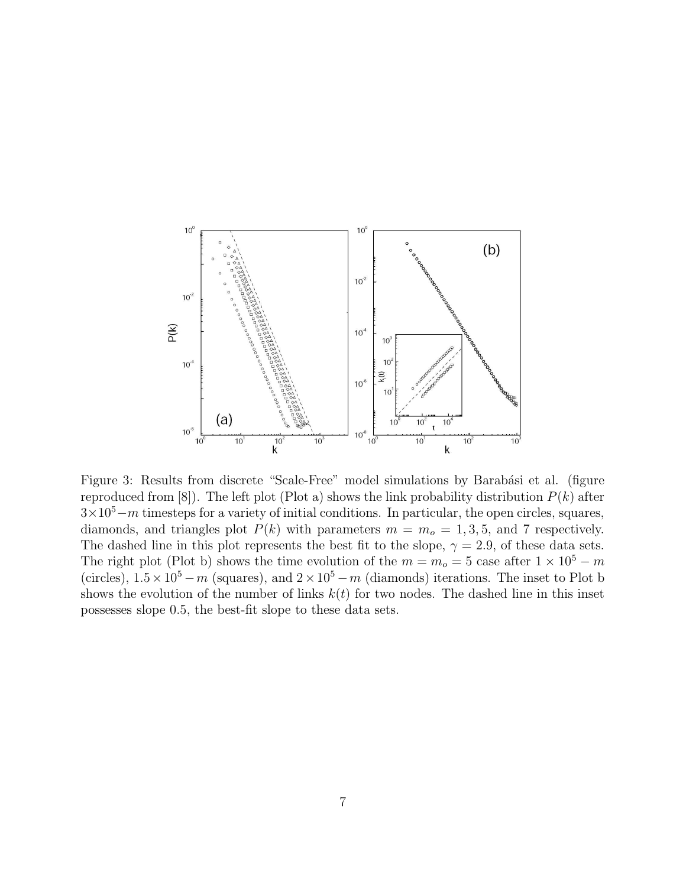

Figure 3: Results from discrete "Scale-Free" model simulations by Barabási et al. (figure reproduced from [8]). The left plot (Plot a) shows the link probability distribution  $P(k)$  after  $3\times10^5$  – m timesteps for a variety of initial conditions. In particular, the open circles, squares, diamonds, and triangles plot  $P(k)$  with parameters  $m = m<sub>o</sub> = 1, 3, 5$ , and 7 respectively. The dashed line in this plot represents the best fit to the slope,  $\gamma = 2.9$ , of these data sets. The right plot (Plot b) shows the time evolution of the  $m = m<sub>o</sub> = 5$  case after  $1 \times 10<sup>5</sup> - m$ (circles),  $1.5 \times 10^5 - m$  (squares), and  $2 \times 10^5 - m$  (diamonds) iterations. The inset to Plot b shows the evolution of the number of links  $k(t)$  for two nodes. The dashed line in this inset possesses slope 0.5, the best-fit slope to these data sets.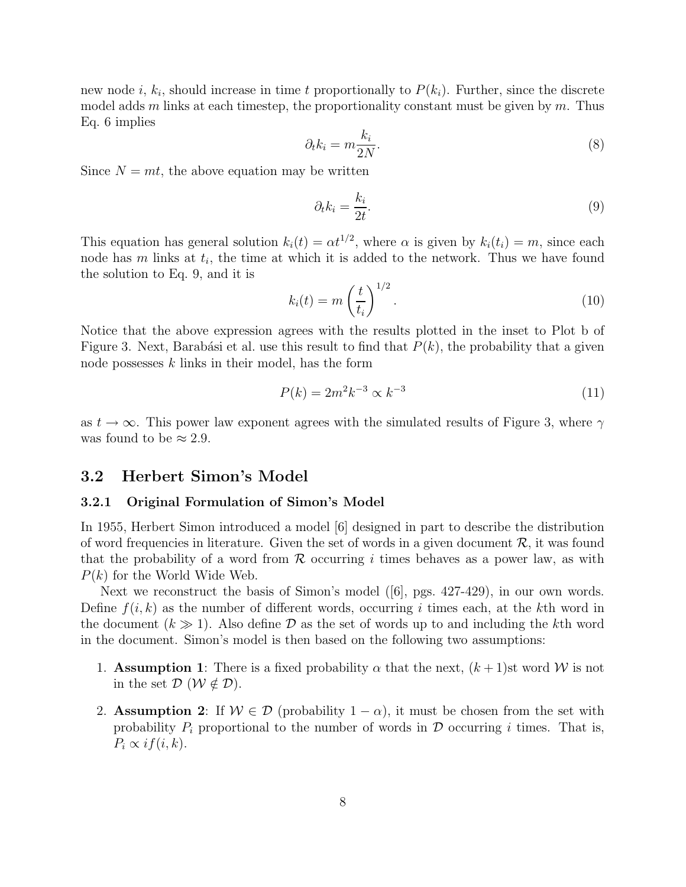new node  $i, k_i$ , should increase in time t proportionally to  $P(k_i)$ . Further, since the discrete model adds m links at each timestep, the proportionality constant must be given by m. Thus Eq. 6 implies

$$
\partial_t k_i = m \frac{k_i}{2N}.\tag{8}
$$

Since  $N = mt$ , the above equation may be written

$$
\partial_t k_i = \frac{k_i}{2t}.\tag{9}
$$

This equation has general solution  $k_i(t) = \alpha t^{1/2}$ , where  $\alpha$  is given by  $k_i(t_i) = m$ , since each node has  $m$  links at  $t_i$ , the time at which it is added to the network. Thus we have found the solution to Eq. 9, and it is

$$
k_i(t) = m\left(\frac{t}{t_i}\right)^{1/2}.\tag{10}
$$

Notice that the above expression agrees with the results plotted in the inset to Plot b of Figure 3. Next, Barabási et al. use this result to find that  $P(k)$ , the probability that a given node possesses  $k$  links in their model, has the form

$$
P(k) = 2m^2k^{-3} \propto k^{-3}
$$
\n(11)

as  $t \to \infty$ . This power law exponent agrees with the simulated results of Figure 3, where  $\gamma$ was found to be  $\approx 2.9$ .

### 3.2 Herbert Simon's Model

#### 3.2.1 Original Formulation of Simon's Model

In 1955, Herbert Simon introduced a model [6] designed in part to describe the distribution of word frequencies in literature. Given the set of words in a given document  $\mathcal{R}$ , it was found that the probability of a word from  $R$  occurring i times behaves as a power law, as with  $P(k)$  for the World Wide Web.

Next we reconstruct the basis of Simon's model ([6], pgs. 427-429), in our own words. Define  $f(i, k)$  as the number of different words, occurring i times each, at the kth word in the document  $(k \gg 1)$ . Also define D as the set of words up to and including the kth word in the document. Simon's model is then based on the following two assumptions:

- 1. **Assumption 1**: There is a fixed probability  $\alpha$  that the next,  $(k+1)$ st word W is not in the set  $\mathcal{D}$  ( $\mathcal{W} \notin \mathcal{D}$ ).
- 2. Assumption 2: If  $W \in \mathcal{D}$  (probability  $1 \alpha$ ), it must be chosen from the set with probability  $P_i$  proportional to the number of words in  $\mathcal D$  occurring i times. That is,  $P_i \propto i f(i,k)$ .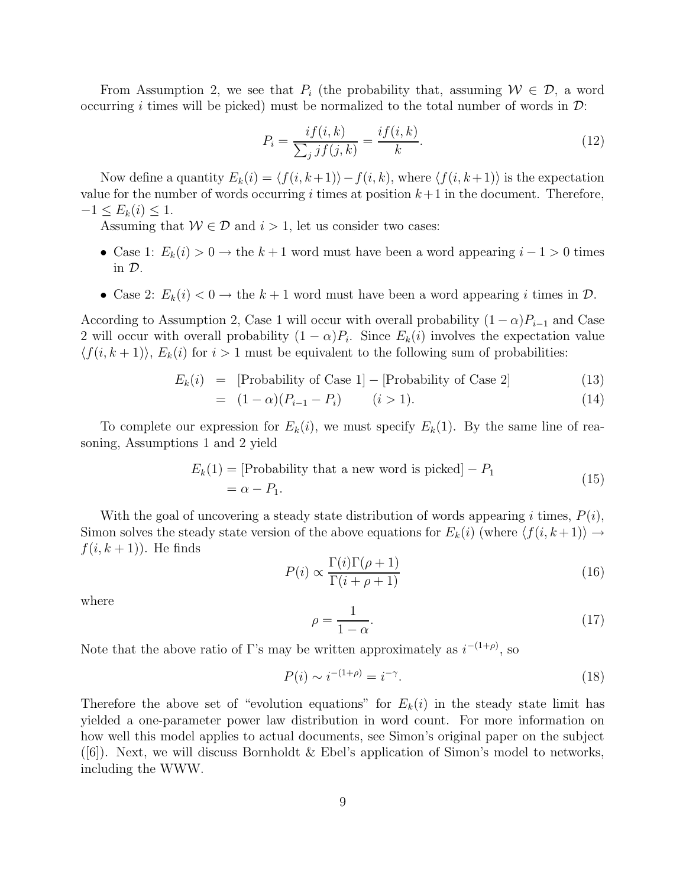From Assumption 2, we see that  $P_i$  (the probability that, assuming  $W \in \mathcal{D}$ , a word occurring i times will be picked) must be normalized to the total number of words in  $\mathcal{D}$ :

$$
P_i = \frac{if(i,k)}{\sum_j j f(j,k)} = \frac{if(i,k)}{k}.
$$
\n
$$
(12)
$$

Now define a quantity  $E_k(i) = \langle f(i, k+1)\rangle - f(i, k)$ , where  $\langle f(i, k+1)\rangle$  is the expectation value for the number of words occurring i times at position  $k+1$  in the document. Therefore,  $-1 \le E_k(i) \le 1.$ 

Assuming that  $W \in \mathcal{D}$  and  $i > 1$ , let us consider two cases:

- Case 1:  $E_k(i) > 0 \rightarrow$  the  $k+1$  word must have been a word appearing  $i-1 > 0$  times in D.
- Case 2:  $E_k(i) < 0 \rightarrow$  the  $k+1$  word must have been a word appearing i times in  $\mathcal{D}$ .

According to Assumption 2, Case 1 will occur with overall probability  $(1 - \alpha)P_{i-1}$  and Case 2 will occur with overall probability  $(1 - \alpha)P_i$ . Since  $E_k(i)$  involves the expectation value  $\langle f(i, k + 1) \rangle$ ,  $E_k(i)$  for  $i > 1$  must be equivalent to the following sum of probabilities:

$$
E_k(i) = [Probability of Case 1] - [Probability of Case 2]
$$
 (13)

$$
= (1 - \alpha)(P_{i-1} - P_i) \qquad (i > 1).
$$
 (14)

To complete our expression for  $E_k(i)$ , we must specify  $E_k(1)$ . By the same line of reasoning, Assumptions 1 and 2 yield

$$
E_k(1) = [\text{Probability that a new word is picked}] - P_1
$$
  
=  $\alpha - P_1.$  (15)

With the goal of uncovering a steady state distribution of words appearing i times,  $P(i)$ , Simon solves the steady state version of the above equations for  $E_k(i)$  (where  $\langle f(i, k +1) \rangle \rightarrow$  $f(i, k + 1)$ . He finds

$$
P(i) \propto \frac{\Gamma(i)\Gamma(\rho+1)}{\Gamma(i+\rho+1)}
$$
\n(16)

where

$$
\rho = \frac{1}{1 - \alpha}.\tag{17}
$$

Note that the above ratio of Γ's may be written approximately as  $i^{-(1+\rho)}$ , so

$$
P(i) \sim i^{-(1+\rho)} = i^{-\gamma}.\tag{18}
$$

Therefore the above set of "evolution equations" for  $E_k(i)$  in the steady state limit has yielded a one-parameter power law distribution in word count. For more information on how well this model applies to actual documents, see Simon's original paper on the subject  $([6])$ . Next, we will discuss Bornholdt & Ebel's application of Simon's model to networks, including the WWW.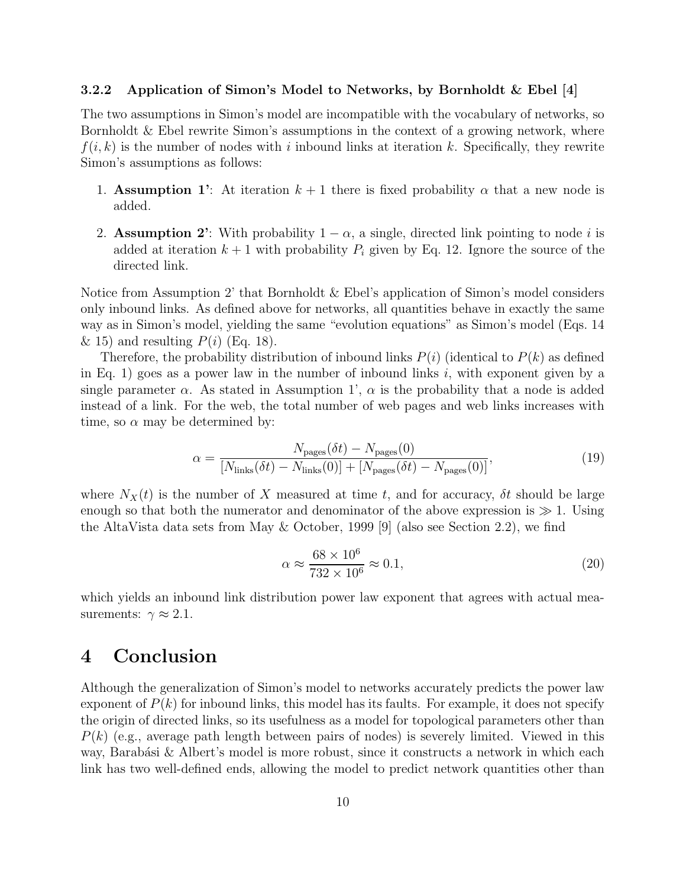#### 3.2.2 Application of Simon's Model to Networks, by Bornholdt & Ebel [4]

The two assumptions in Simon's model are incompatible with the vocabulary of networks, so Bornholdt & Ebel rewrite Simon's assumptions in the context of a growing network, where  $f(i, k)$  is the number of nodes with i inbound links at iteration k. Specifically, they rewrite Simon's assumptions as follows:

- 1. Assumption 1': At iteration  $k+1$  there is fixed probability  $\alpha$  that a new node is added.
- 2. Assumption 2': With probability  $1 \alpha$ , a single, directed link pointing to node i is added at iteration  $k + 1$  with probability  $P_i$  given by Eq. 12. Ignore the source of the directed link.

Notice from Assumption 2' that Bornholdt & Ebel's application of Simon's model considers only inbound links. As defined above for networks, all quantities behave in exactly the same way as in Simon's model, yielding the same "evolution equations" as Simon's model (Eqs. 14 & 15) and resulting  $P(i)$  (Eq. 18).

Therefore, the probability distribution of inbound links  $P(i)$  (identical to  $P(k)$ ) as defined in Eq. 1) goes as a power law in the number of inbound links i, with exponent given by a single parameter  $\alpha$ . As stated in Assumption 1',  $\alpha$  is the probability that a node is added instead of a link. For the web, the total number of web pages and web links increases with time, so  $\alpha$  may be determined by:

$$
\alpha = \frac{N_{\text{pages}}(\delta t) - N_{\text{pages}}(0)}{[N_{\text{links}}(\delta t) - N_{\text{links}}(0)] + [N_{\text{pages}}(\delta t) - N_{\text{pages}}(0)]},\tag{19}
$$

where  $N_X(t)$  is the number of X measured at time t, and for accuracy,  $\delta t$  should be large enough so that both the numerator and denominator of the above expression is  $\gg 1$ . Using the AltaVista data sets from May & October, 1999 [9] (also see Section 2.2), we find

$$
\alpha \approx \frac{68 \times 10^6}{732 \times 10^6} \approx 0.1,\tag{20}
$$

which yields an inbound link distribution power law exponent that agrees with actual measurements:  $\gamma \approx 2.1$ .

## 4 Conclusion

Although the generalization of Simon's model to networks accurately predicts the power law exponent of  $P(k)$  for inbound links, this model has its faults. For example, it does not specify the origin of directed links, so its usefulness as a model for topological parameters other than  $P(k)$  (e.g., average path length between pairs of nodes) is severely limited. Viewed in this way, Barabási & Albert's model is more robust, since it constructs a network in which each link has two well-defined ends, allowing the model to predict network quantities other than